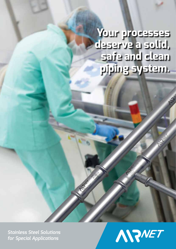**Your processes deserve a solid, safe and clean piping system.**

*Stainless Steel Solutions for Special Applications*

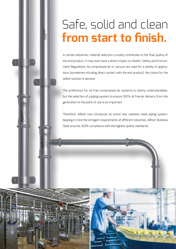# Safe, solid and clean **from start to finish.**

In certain industries, material selection crucially contributes to the final quality of the end product. It may even have a direct impact on Health, Safety and Environment Regulations. As compressed air or vacuum are used for a variety of applications (sometimes including direct contact with the end product), the choice for the safest solution is decisive.

The preference for oil free compressed air systems is clearly understandable, but the selection of a piping system to ensure 100% oil free air delivery from the generation to the point of use is as important.

Therefore, AIRnet now introduces its brand new stainless steel piping system. Keeping in mind the stringent requirements of different industries, AIRnet Stainless Steel ensures 100% compliance with the highest quality standards.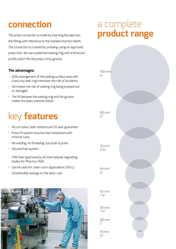## **connection**

The press connection is made by inserting the pipe into the fitting with reference to the marked insertion depth. The connection is created by pressing, using an approved press tool. We use a patented sealing ring with a lenticular profile which fits the press crimp groove.

#### **The advantages:**

- 20% enlargement of the sealing surface area with a security seal ring minimizes the risk of accidents
- Eliminates the risk of sealing ring being pressed out or damaged
- The fit between the sealing ring and the groove makes the pipes insertion easier.

# key **features**

- No corrosion, leak resistant and 10 year guarantee
- Press fit system ensures fast installation with minimal tools
- No welding, no threading: just push & press
- Silicone free system
- FKM Seal (approved by all international regulating bodies for Pharma, F&B)
- Can be used for clean room applications (316 L)
- Considerable savings on the labor cost



### a complete **product range**